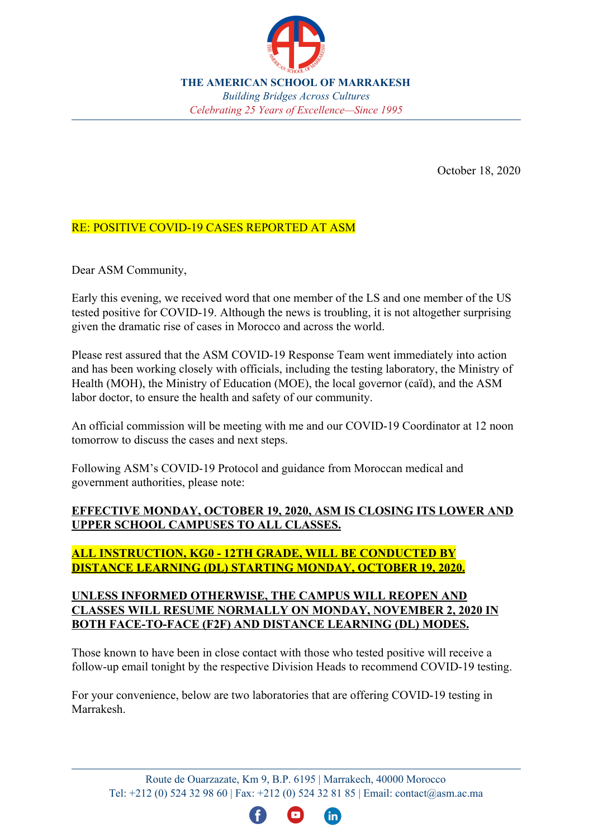

**THE AMERICAN SCHOOL OF MARRAKESH** *Building Bridges Across Cultures Celebrating 25 Years of Excellence–Since 1995* 

October 18, 2020

## RE: POSITIVE COVID-19 CASES REPORTED AT ASM

Dear ASM Community,

Early this evening, we received word that one member of the LS and one member of the US tested positive for COVID-19. Although the news is troubling, it is not altogether surprising given the dramatic rise of cases in Morocco and across the world.

Please rest assured that the ASM COVID-19 Response Team went immediately into action and has been working closely with officials, including the testing laboratory, the Ministry of Health (MOH), the Ministry of Education (MOE), the local governor (caïd), and the ASM labor doctor, to ensure the health and safety of our community.

An official commission will be meeting with me and our COVID-19 Coordinator at 12 noon tomorrow to discuss the cases and next steps.

Following ASM's COVID-19 Protocol and guidance from Moroccan medical and government authorities, please note:

## **EFFECTIVE MONDAY, OCTOBER 19, 2020, ASM IS CLOSING ITS LOWER AND UPPER SCHOOL CAMPUSES TO ALL CLASSES.**

## **ALL INSTRUCTION, KG0 - 12TH GRADE, WILL BE CONDUCTED BY DISTANCE LEARNING (DL) STARTING MONDAY, OCTOBER 19, 2020.**

#### **UNLESS INFORMED OTHERWISE, THE CAMPUS WILL REOPEN AND CLASSES WILL RESUME NORMALLY ON MONDAY, NOVEMBER 2, 2020 IN BOTH FACE-TO-FACE (F2F) AND DISTANCE LEARNING (DL) MODES.**

Those known to have been in close contact with those who tested positive will receive a follow-up email tonight by the respective Division Heads to recommend COVID-19 testing.

For your convenience, below are two laboratories that are offering COVID-19 testing in Marrakesh.

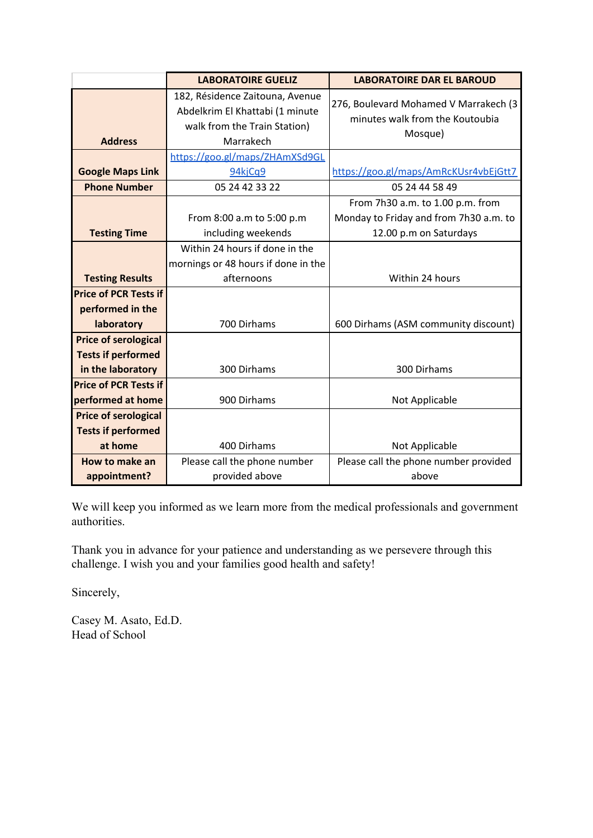|                                                                                  | <b>LABORATOIRE GUELIZ</b>                                                                                       | <b>LABORATOIRE DAR EL BAROUD</b>                                                                     |
|----------------------------------------------------------------------------------|-----------------------------------------------------------------------------------------------------------------|------------------------------------------------------------------------------------------------------|
| <b>Address</b>                                                                   | 182, Résidence Zaitouna, Avenue<br>Abdelkrim El Khattabi (1 minute<br>walk from the Train Station)<br>Marrakech | 276, Boulevard Mohamed V Marrakech (3<br>minutes walk from the Koutoubia<br>Mosque)                  |
| <b>Google Maps Link</b><br><b>Phone Number</b>                                   | https://goo.gl/maps/ZHAmXSd9GL<br>94kjCq9<br>05 24 42 33 22                                                     | https://goo.gl/maps/AmRcKUsr4vbEjGtt7<br>05 24 44 58 49                                              |
| <b>Testing Time</b>                                                              | From 8:00 a.m to 5:00 p.m<br>including weekends                                                                 | From 7h30 a.m. to 1.00 p.m. from<br>Monday to Friday and from 7h30 a.m. to<br>12.00 p.m on Saturdays |
| <b>Testing Results</b>                                                           | Within 24 hours if done in the<br>mornings or 48 hours if done in the<br>afternoons                             | Within 24 hours                                                                                      |
| <b>Price of PCR Tests if</b><br>performed in the<br>laboratory                   | 700 Dirhams                                                                                                     | 600 Dirhams (ASM community discount)                                                                 |
| <b>Price of serological</b><br><b>Tests if performed</b><br>in the laboratory    | 300 Dirhams                                                                                                     | 300 Dirhams                                                                                          |
| <b>Price of PCR Tests if</b><br>performed at home<br><b>Price of serological</b> | 900 Dirhams                                                                                                     | Not Applicable                                                                                       |
| <b>Tests if performed</b><br>at home                                             | 400 Dirhams                                                                                                     | Not Applicable                                                                                       |
| How to make an<br>appointment?                                                   | Please call the phone number<br>provided above                                                                  | Please call the phone number provided<br>above                                                       |

We will keep you informed as we learn more from the medical professionals and government authorities.

Thank you in advance for your patience and understanding as we persevere through this challenge. I wish you and your families good health and safety!

Sincerely,

Casey M. Asato, Ed.D. Head of School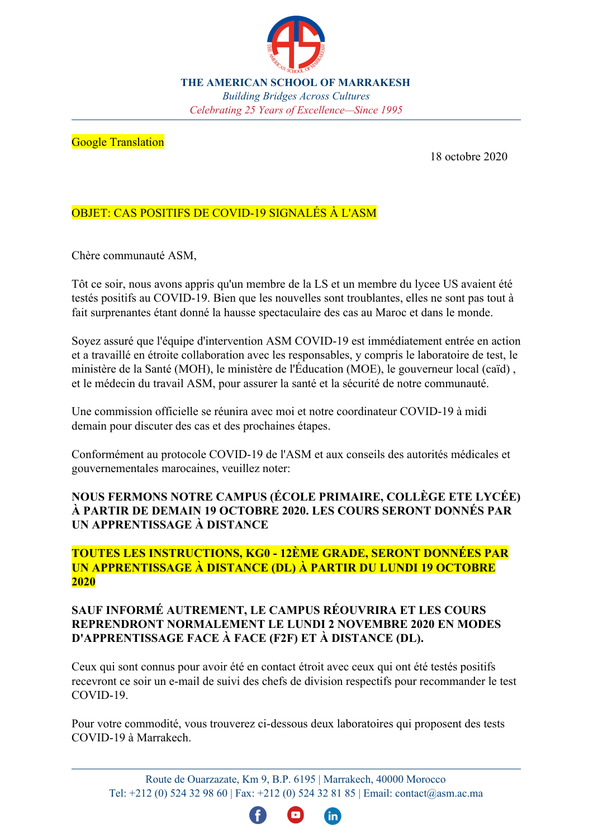

**THE AMERICAN SCHOOL OF MARRAKESH** *Building Bridges Across Cultures Celebrating 25 Years of Excellence—Since 1995* 

#### **Google Translation**

18 octobre 2020

# OBJET: CAS POSITIFS DE COVID-19 SIGNALÉS À L'ASM

Chère communauté ASM,

Tôt ce soir, nous avons appris qu'un membre de la LS et un membre du lycee US avaient été testés positifs au COVID-19. Bien que les nouvelles sont troublantes, elles ne sont pas tout à fait surprenantes étant donné la hausse spectaculaire des cas au Maroc et dans le monde.

Soyez assuré que l'équipe d'intervention ASM COVID-19 est immédiatement entrée en action et a travaillé en étroite collaboration avec les responsables, y compris le laboratoire de test, le ministère de la Santé (MOH), le ministère de l'Éducation (MOE), le gouverneur local (caïd), et le médecin du travail ASM, pour assurer la santé et la sécurité de notre communauté.

Une commission officielle se réunira avec moi et notre coordinateur COVID-19 à midi demain pour discuter des cas et des prochaines étapes.

Conformément au protocole COVID-19 de l'ASM et aux conseils des autorités médicales et gouvernementales marocaines, veuillez noter:

## **NOUS FERMONS NOTRE CAMPUS (ÉCOLE PRIMAIRE, COLLÈGE ETE LYCÉE) ¬ PARTIR DE DEMAIN 19 OCTOBRE 2020. LES COURS SERONT DONNeS PAR UN APPRENTISSAGE À DISTANCE**

## **TOUTES LES INSTRUCTIONS, KG0 - 12ÊME GRADE, SERONT DONNeES PAR UN APPRENTISSAGE ¬ DISTANCE (DL) ¬ PARTIR DU LUNDI 19 OCTOBRE 2020**

## **SAUF INFORMe AUTREMENT, LE CAMPUS ReOUVRIRA ET LES COURS REPRENDRONT NORMALEMENT LE LUNDI 2 NOVEMBRE 2020 EN MODES** D'APPRENTISSAGE FACE À FACE (F2F) ET À DISTANCE (DL).

Ceux qui sont connus pour avoir été en contact étroit avec ceux qui ont été testés positifs recevront ce soir un e-mail de suivi des chefs de division respectifs pour recommander le test COVID-19.

Pour votre commodité, vous trouverez ci-dessous deux laboratoires qui proposent des tests COVID-19 à Marrakech